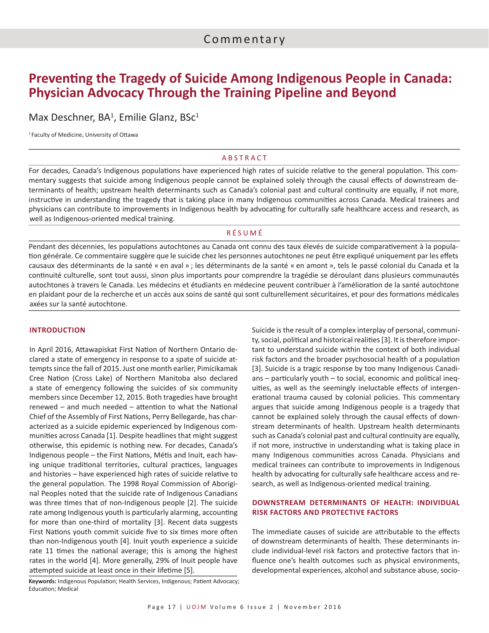# **Preventing the Tragedy of Suicide Among Indigenous People in Canada: Physician Advocacy Through the Training Pipeline and Beyond**

## Max Deschner, BA<sup>1</sup>, Emilie Glanz, BSc<sup>1</sup>

<sup>1</sup> Faculty of Medicine, University of Ottawa

### ABSTRACT

For decades, Canada's Indigenous populations have experienced high rates of suicide relative to the general population. This commentary suggests that suicide among Indigenous people cannot be explained solely through the causal effects of downstream determinants of health; upstream health determinants such as Canada's colonial past and cultural continuity are equally, if not more, instructive in understanding the tragedy that is taking place in many Indigenous communities across Canada. Medical trainees and physicians can contribute to improvements in Indigenous health by advocating for culturally safe healthcare access and research, as well as Indigenous-oriented medical training.

### RÉSUMÉ

Pendant des décennies, les populations autochtones au Canada ont connu des taux élevés de suicide comparativement à la population générale. Ce commentaire suggère que le suicide chez les personnes autochtones ne peut être expliqué uniquement par les effets causaux des déterminants de la santé « en aval » ; les déterminants de la santé « en amont », tels le passé colonial du Canada et la continuité culturelle, sont tout aussi, sinon plus importants pour comprendre la tragédie se déroulant dans plusieurs communautés autochtones à travers le Canada. Les médecins et étudiants en médecine peuvent contribuer à l'amélioration de la santé autochtone en plaidant pour de la recherche et un accès aux soins de santé qui sont culturellement sécuritaires, et pour des formations médicales axées sur la santé autochtone.

#### **INTRODUCTION**

In April 2016, Attawapiskat First Nation of Northern Ontario declared a state of emergency in response to a spate of suicide attempts since the fall of 2015. Just one month earlier, Pimicikamak Cree Nation (Cross Lake) of Northern Manitoba also declared a state of emergency following the suicides of six community members since December 12, 2015. Both tragedies have brought renewed – and much needed – attention to what the National Chief of the Assembly of First Nations, Perry Bellegarde, has characterized as a suicide epidemic experienced by Indigenous communities across Canada [1]. Despite headlines that might suggest otherwise, this epidemic is nothing new. For decades, Canada's Indigenous people – the First Nations, Métis and Inuit, each having unique traditional territories, cultural practices, languages and histories – have experienced high rates of suicide relative to the general population. The 1998 Royal Commission of Aboriginal Peoples noted that the suicide rate of Indigenous Canadians was three times that of non-Indigenous people [2]. The suicide rate among Indigenous youth is particularly alarming, accounting for more than one-third of mortality [3]. Recent data suggests First Nations youth commit suicide five to six times more often than non-Indigenous youth [4]. Inuit youth experience a suicide rate 11 times the national average; this is among the highest rates in the world [4]. More generally, 29% of Inuit people have attempted suicide at least once in their lifetime [5].

**Keywords:** Indigenous Population; Health Services, Indigenous; Patient Advocacy; Education; Medical

Suicide is the result of a complex interplay of personal, community, social, political and historical realities [3]. It is therefore important to understand suicide within the context of both individual risk factors and the broader psychosocial health of a population [3]. Suicide is a tragic response by too many Indigenous Canadians – particularly youth – to social, economic and political inequities, as well as the seemingly ineluctable effects of intergenerational trauma caused by colonial policies. This commentary argues that suicide among Indigenous people is a tragedy that cannot be explained solely through the causal effects of downstream determinants of health. Upstream health determinants such as Canada's colonial past and cultural continuity are equally, if not more, instructive in understanding what is taking place in many Indigenous communities across Canada. Physicians and medical trainees can contribute to improvements in Indigenous health by advocating for culturally safe healthcare access and research, as well as Indigenous-oriented medical training.

### **DOWNSTREAM DETERMINANTS OF HEALTH: INDIVIDUAL RISK FACTORS AND PROTECTIVE FACTORS**

The immediate causes of suicide are attributable to the effects of downstream determinants of health. These determinants include individual-level risk factors and protective factors that influence one's health outcomes such as physical environments, developmental experiences, alcohol and substance abuse, socio-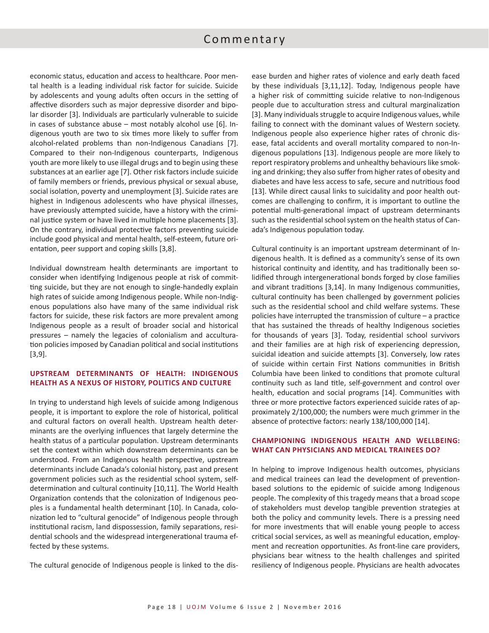## Commentary

economic status, education and access to healthcare. Poor mental health is a leading individual risk factor for suicide. Suicide by adolescents and young adults often occurs in the setting of affective disorders such as major depressive disorder and bipolar disorder [3]. Individuals are particularly vulnerable to suicide in cases of substance abuse – most notably alcohol use [6]. Indigenous youth are two to six times more likely to suffer from alcohol-related problems than non-Indigenous Canadians [7]. Compared to their non-Indigenous counterparts, Indigenous youth are more likely to use illegal drugs and to begin using these substances at an earlier age [7]. Other risk factors include suicide of family members or friends, previous physical or sexual abuse, social isolation, poverty and unemployment [3]. Suicide rates are highest in Indigenous adolescents who have physical illnesses, have previously attempted suicide, have a history with the criminal justice system or have lived in multiple home placements [3]. On the contrary, individual protective factors preventing suicide include good physical and mental health, self-esteem, future orientation, peer support and coping skills [3,8].

Individual downstream health determinants are important to consider when identifying Indigenous people at risk of committing suicide, but they are not enough to single-handedly explain high rates of suicide among Indigenous people. While non-Indigenous populations also have many of the same individual risk factors for suicide, these risk factors are more prevalent among Indigenous people as a result of broader social and historical pressures – namely the legacies of colonialism and acculturation policies imposed by Canadian political and social institutions [3,9].

## **UPSTREAM DETERMINANTS OF HEALTH: INDIGENOUS HEALTH AS A NEXUS OF HISTORY, POLITICS AND CULTURE**

In trying to understand high levels of suicide among Indigenous people, it is important to explore the role of historical, political and cultural factors on overall health. Upstream health determinants are the overlying influences that largely determine the health status of a particular population. Upstream determinants set the context within which downstream determinants can be understood. From an Indigenous health perspective, upstream determinants include Canada's colonial history, past and present government policies such as the residential school system, selfdetermination and cultural continuity [10,11]. The World Health Organization contends that the colonization of Indigenous peoples is a fundamental health determinant [10]. In Canada, colonization led to "cultural genocide" of Indigenous people through institutional racism, land dispossession, family separations, residential schools and the widespread intergenerational trauma effected by these systems.

The cultural genocide of Indigenous people is linked to the dis-

ease burden and higher rates of violence and early death faced by these individuals [3,11,12]. Today, Indigenous people have a higher risk of committing suicide relative to non-Indigenous people due to acculturation stress and cultural marginalization [3]. Many individuals struggle to acquire Indigenous values, while failing to connect with the dominant values of Western society. Indigenous people also experience higher rates of chronic disease, fatal accidents and overall mortality compared to non-Indigenous populations [13]. Indigenous people are more likely to report respiratory problems and unhealthy behaviours like smoking and drinking; they also suffer from higher rates of obesity and diabetes and have less access to safe, secure and nutritious food [13]. While direct causal links to suicidality and poor health outcomes are challenging to confirm, it is important to outline the potential multi-generational impact of upstream determinants such as the residential school system on the health status of Canada's Indigenous population today.

Cultural continuity is an important upstream determinant of Indigenous health. It is defined as a community's sense of its own historical continuity and identity, and has traditionally been solidified through intergenerational bonds forged by close families and vibrant traditions [3,14]. In many Indigenous communities, cultural continuity has been challenged by government policies such as the residential school and child welfare systems. These policies have interrupted the transmission of culture – a practice that has sustained the threads of healthy Indigenous societies for thousands of years [3]. Today, residential school survivors and their families are at high risk of experiencing depression, suicidal ideation and suicide attempts [3]. Conversely, low rates of suicide within certain First Nations communities in British Columbia have been linked to conditions that promote cultural continuity such as land title, self-government and control over health, education and social programs [14]. Communities with three or more protective factors experienced suicide rates of approximately 2/100,000; the numbers were much grimmer in the absence of protective factors: nearly 138/100,000 [14].

### **CHAMPIONING INDIGENOUS HEALTH AND WELLBEING: WHAT CAN PHYSICIANS AND MEDICAL TRAINEES DO?**

In helping to improve Indigenous health outcomes, physicians and medical trainees can lead the development of preventionbased solutions to the epidemic of suicide among Indigenous people. The complexity of this tragedy means that a broad scope of stakeholders must develop tangible prevention strategies at both the policy and community levels. There is a pressing need for more investments that will enable young people to access critical social services, as well as meaningful education, employment and recreation opportunities. As front-line care providers, physicians bear witness to the health challenges and spirited resiliency of Indigenous people. Physicians are health advocates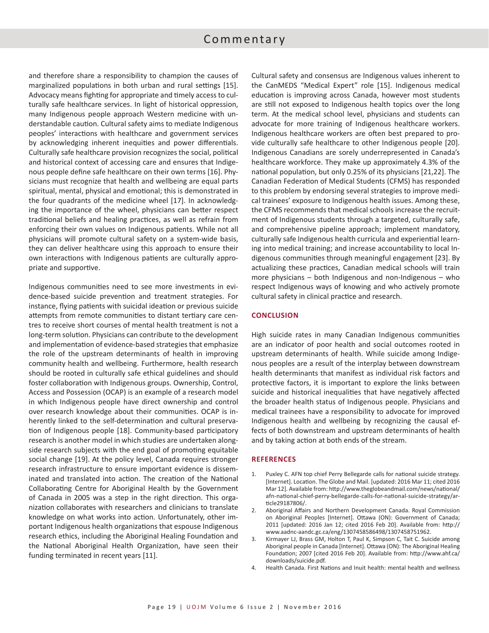## Commentary

and therefore share a responsibility to champion the causes of marginalized populations in both urban and rural settings [15]. Advocacy means fighting for appropriate and timely access to culturally safe healthcare services. In light of historical oppression, many Indigenous people approach Western medicine with understandable caution. Cultural safety aims to mediate Indigenous peoples' interactions with healthcare and government services by acknowledging inherent inequities and power differentials. Culturally safe healthcare provision recognizes the social, political and historical context of accessing care and ensures that Indigenous people define safe healthcare on their own terms [16]. Physicians must recognize that health and wellbeing are equal parts spiritual, mental, physical and emotional; this is demonstrated in the four quadrants of the medicine wheel [17]. In acknowledging the importance of the wheel, physicians can better respect traditional beliefs and healing practices, as well as refrain from enforcing their own values on Indigenous patients. While not all physicians will promote cultural safety on a system-wide basis, they can deliver healthcare using this approach to ensure their own interactions with Indigenous patients are culturally appropriate and supportive.

Indigenous communities need to see more investments in evidence-based suicide prevention and treatment strategies. For instance, flying patients with suicidal ideation or previous suicide attempts from remote communities to distant tertiary care centres to receive short courses of mental health treatment is not a long-term solution. Physicians can contribute to the development and implementation of evidence-based strategies that emphasize the role of the upstream determinants of health in improving community health and wellbeing. Furthermore, health research should be rooted in culturally safe ethical guidelines and should foster collaboration with Indigenous groups. Ownership, Control, Access and Possession (OCAP) is an example of a research model in which Indigenous people have direct ownership and control over research knowledge about their communities. OCAP is inherently linked to the self-determination and cultural preservation of Indigenous people [18]. Community-based participatory research is another model in which studies are undertaken alongside research subjects with the end goal of promoting equitable social change [19]. At the policy level, Canada requires stronger research infrastructure to ensure important evidence is disseminated and translated into action. The creation of the National Collaborating Centre for Aboriginal Health by the Government of Canada in 2005 was a step in the right direction. This organization collaborates with researchers and clinicians to translate knowledge on what works into action. Unfortunately, other important Indigenous health organizations that espouse Indigenous research ethics, including the Aboriginal Healing Foundation and the National Aboriginal Health Organization, have seen their funding terminated in recent years [11].

Cultural safety and consensus are Indigenous values inherent to the CanMEDS "Medical Expert" role [15]. Indigenous medical education is improving across Canada, however most students are still not exposed to Indigenous health topics over the long term. At the medical school level, physicians and students can advocate for more training of Indigenous healthcare workers. Indigenous healthcare workers are often best prepared to provide culturally safe healthcare to other Indigenous people [20]. Indigenous Canadians are sorely underrepresented in Canada's healthcare workforce. They make up approximately 4.3% of the national population, but only 0.25% of its physicians [21,22]. The Canadian Federation of Medical Students (CFMS) has responded to this problem by endorsing several strategies to improve medical trainees' exposure to Indigenous health issues. Among these, the CFMS recommends that medical schools increase the recruitment of Indigenous students through a targeted, culturally safe, and comprehensive pipeline approach; implement mandatory, culturally safe Indigenous health curricula and experiential learning into medical training; and increase accountability to local Indigenous communities through meaningful engagement [23]. By actualizing these practices, Canadian medical schools will train more physicians – both Indigenous and non-Indigenous – who respect Indigenous ways of knowing and who actively promote cultural safety in clinical practice and research.

### **CONCLUSION**

High suicide rates in many Canadian Indigenous communities are an indicator of poor health and social outcomes rooted in upstream determinants of health. While suicide among Indigenous peoples are a result of the interplay between downstream health determinants that manifest as individual risk factors and protective factors, it is important to explore the links between suicide and historical inequalities that have negatively affected the broader health status of Indigenous people. Physicians and medical trainees have a responsibility to advocate for improved Indigenous health and wellbeing by recognizing the causal effects of both downstream and upstream determinants of health and by taking action at both ends of the stream.

#### **REFERENCES**

- Puxley C. AFN top chief Perry Bellegarde calls for national suicide strategy. [Internet]. Location. The Globe and Mail. [updated: 2016 Mar 11; cited 2016 Mar 12]. Available from: http://www.theglobeandmail.com/news/national/ afn-national-chief-perry-bellegarde-calls-for-national-suicide-strategy/article29187806/.
- 2. Aboriginal Affairs and Northern Development Canada. Royal Commission on Aboriginal Peoples [Internet]. Ottawa (ON): Government of Canada; 2011 [updated: 2016 Jan 12; cited 2016 Feb 20]. Available from: http:// www.aadnc-aandc.gc.ca/eng/1307458586498/1307458751962.
- 3. Kirmayer LJ, Brass GM, Holton T, Paul K, Simpson C, Tait C. Suicide among Aboriginal people in Canada [Internet]. Ottawa (ON): The Aboriginal Healing Foundation; 2007 [cited 2016 Feb 20]. Available from: http://www.ahf.ca/ downloads/suicide.pdf.
- 4. Health Canada. First Nations and Inuit health: mental health and wellness